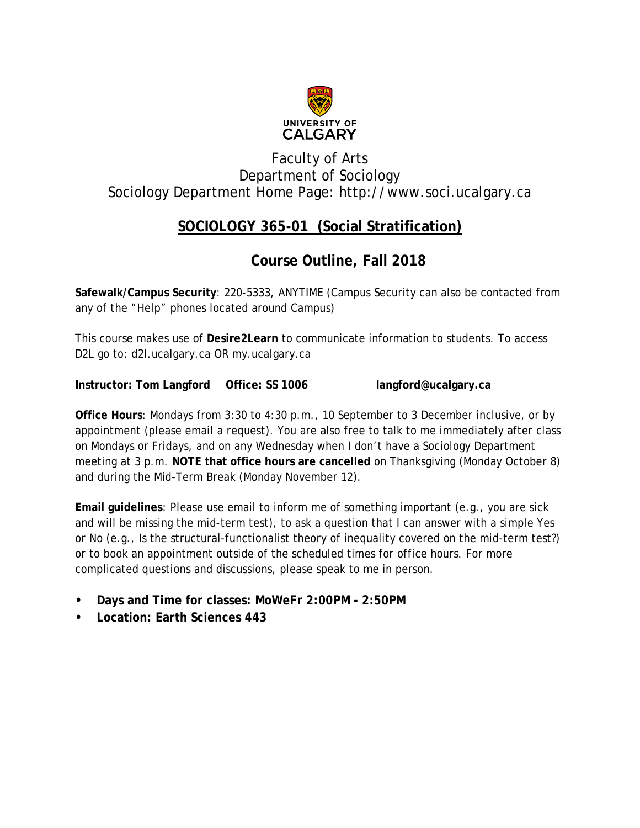

# Faculty of Arts Department of Sociology Sociology Department Home Page: [http://www.soci.ucalgary.ca](http://www.soci.ucalgary.ca/)

# **SOCIOLOGY 365-01 (Social Stratification)**

# **Course Outline, Fall 2018**

**Safewalk/Campus Security**: 220-5333, ANYTIME (Campus Security can also be contacted from any of the "Help" phones located around Campus)

This course makes use of **Desire2Learn** to communicate information to students. To access D2L go to: d2l.ucalgary.ca OR my.ucalgary.ca

**Instructor: Tom Langford Office: SS 1006 [langford@ucalgary.ca](mailto:langford@ucalgary.ca)**

**Office Hours**: Mondays from 3:30 to 4:30 p.m., 10 September to 3 December inclusive, or by appointment (please email a request). You are also free to talk to me immediately after class on Mondays or Fridays, and on any Wednesday when I don't have a Sociology Department meeting at 3 p.m. **NOTE that office hours are cancelled** on Thanksgiving (Monday October 8) and during the Mid-Term Break (Monday November 12).

**Email guidelines**: Please use email to inform me of something important (e.g., you are sick and will be missing the mid-term test), to ask a question that I can answer with a simple Yes or No (e.g., Is the structural-functionalist theory of inequality covered on the mid-term test?) or to book an appointment outside of the scheduled times for office hours. For more complicated questions and discussions, please speak to me in person.

- **Days and Time for classes: MoWeFr 2:00PM - 2:50PM**
- **Location: Earth Sciences 443**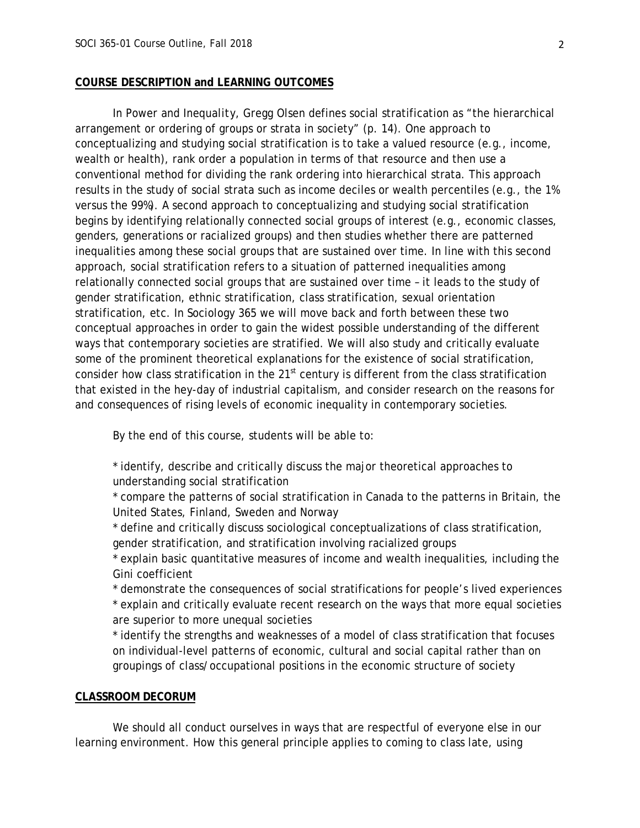#### **COURSE DESCRIPTION and LEARNING OUTCOMES**

In *Power and Inequality*, Gregg Olsen defines social stratification as "the hierarchical arrangement or ordering of groups or strata in society" (p. 14). One approach to conceptualizing and studying social stratification is to take a valued resource (e.g., income, wealth or health), rank order a population in terms of that resource and then use a conventional method for dividing the rank ordering into hierarchical strata. This approach results in the study of social strata such as income deciles or wealth percentiles (e.g., the 1% versus the 99%). A second approach to conceptualizing and studying social stratification begins by identifying relationally connected social groups of interest (e.g., economic classes, genders, generations or racialized groups) and then studies whether there are patterned inequalities among these social groups that are sustained over time. In line with this second approach, social stratification refers to a situation of patterned inequalities among relationally connected social groups that are sustained over time – it leads to the study of gender stratification, ethnic stratification, class stratification, sexual orientation stratification, etc. In Sociology 365 we will move back and forth between these two conceptual approaches in order to gain the widest possible understanding of the different ways that contemporary societies are stratified. We will also study and critically evaluate some of the prominent theoretical explanations for the existence of social stratification, consider how class stratification in the 21<sup>st</sup> century is different from the class stratification that existed in the hey-day of industrial capitalism, and consider research on the reasons for and consequences of rising levels of economic inequality in contemporary societies.

By the end of this course, students will be able to:

\* identify, describe and critically discuss the major theoretical approaches to understanding social stratification

\* compare the patterns of social stratification in Canada to the patterns in Britain, the United States, Finland, Sweden and Norway

\* define and critically discuss sociological conceptualizations of class stratification, gender stratification, and stratification involving racialized groups

\* explain basic quantitative measures of income and wealth inequalities, including the Gini coefficient

\* demonstrate the consequences of social stratifications for people's lived experiences \* explain and critically evaluate recent research on the ways that more equal societies are superior to more unequal societies

\* identify the strengths and weaknesses of a model of class stratification that focuses on individual-level patterns of economic, cultural and social capital rather than on groupings of class/occupational positions in the economic structure of society

#### **CLASSROOM DECORUM**

We should all conduct ourselves in ways that are respectful of everyone else in our learning environment. How this general principle applies to coming to class late, using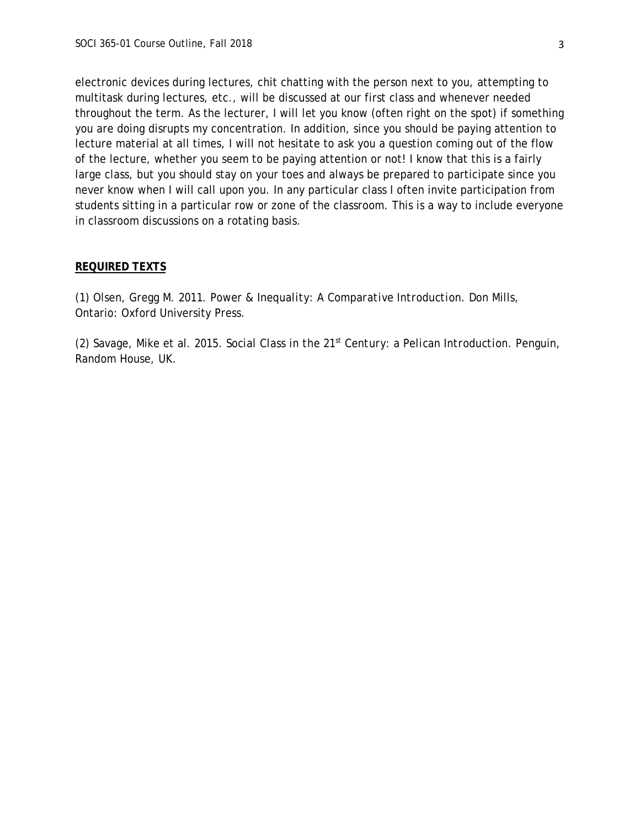electronic devices during lectures, chit chatting with the person next to you, attempting to multitask during lectures, etc., will be discussed at our first class and whenever needed throughout the term. As the lecturer, I will let you know (often right on the spot) if something you are doing disrupts my concentration. In addition, since you should be paying attention to lecture material at all times, I will not hesitate to ask you a question coming out of the flow of the lecture, whether you seem to be paying attention or not! I know that this is a fairly large class, but you should stay on your toes and always be prepared to participate since you never know when I will call upon you. In any particular class I often invite participation from students sitting in a particular row or zone of the classroom. This is a way to include everyone in classroom discussions on a rotating basis.

#### **REQUIRED TEXTS**

(1) Olsen, Gregg M. 2011. *Power & Inequality: A Comparative Introduction*. Don Mills, Ontario: Oxford University Press.

(2) Savage, Mike et al. 2015. *Social Class in the 21st Century: a Pelican Introduction.* Penguin, Random House, UK.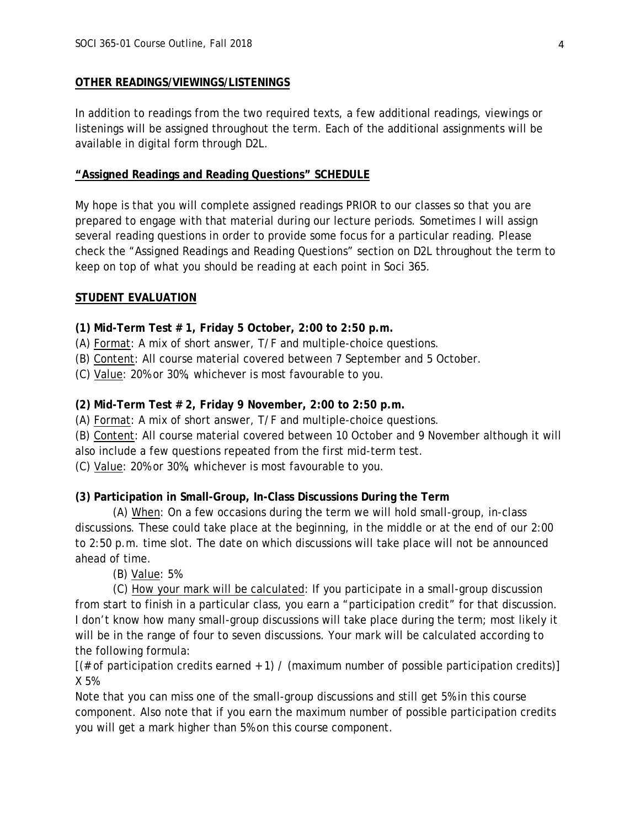### **OTHER READINGS/VIEWINGS/LISTENINGS**

In addition to readings from the two required texts, a few additional readings, viewings or listenings will be assigned throughout the term. Each of the additional assignments will be available in digital form through D2L.

## **"Assigned Readings and Reading Questions" SCHEDULE**

My hope is that you will complete assigned readings PRIOR to our classes so that you are prepared to engage with that material during our lecture periods. Sometimes I will assign several reading questions in order to provide some focus for a particular reading. Please check the "Assigned Readings and Reading Questions" section on D2L throughout the term to keep on top of what you should be reading at each point in Soci 365.

## **STUDENT EVALUATION**

**(1) Mid-Term Test # 1, Friday 5 October, 2:00 to 2:50 p.m.**

(A) Format: A mix of short answer, T/F and multiple-choice questions.

(B) Content: All course material covered between 7 September and 5 October.

(C) Value: 20% or 30%, whichever is most favourable to you.

# **(2) Mid-Term Test # 2, Friday 9 November, 2:00 to 2:50 p.m.**

(A) Format: A mix of short answer, T/F and multiple-choice questions.

(B) Content: All course material covered between 10 October and 9 November although it will also include a few questions repeated from the first mid-term test.

(C) Value: 20% or 30%, whichever is most favourable to you.

# **(3) Participation in Small-Group, In-Class Discussions During the Term**

(A) When: On a few occasions during the term we will hold small-group, in-class discussions. These could take place at the beginning, in the middle or at the end of our 2:00 to 2:50 p.m. time slot. The date on which discussions will take place will not be announced ahead of time.

(B) Value: 5%

(C) How your mark will be calculated: If you participate in a small-group discussion from start to finish in a particular class, you earn a "participation credit" for that discussion. I don't know how many small-group discussions will take place during the term; most likely it will be in the range of four to seven discussions. Your mark will be calculated according to the following formula:

 $[(# of partition credit)$  canned + 1) / (maximum number of possible participation credits)] X 5%

Note that you can miss one of the small-group discussions and still get 5% in this course component. Also note that if you earn the maximum number of possible participation credits you will get a mark higher than 5% on this course component.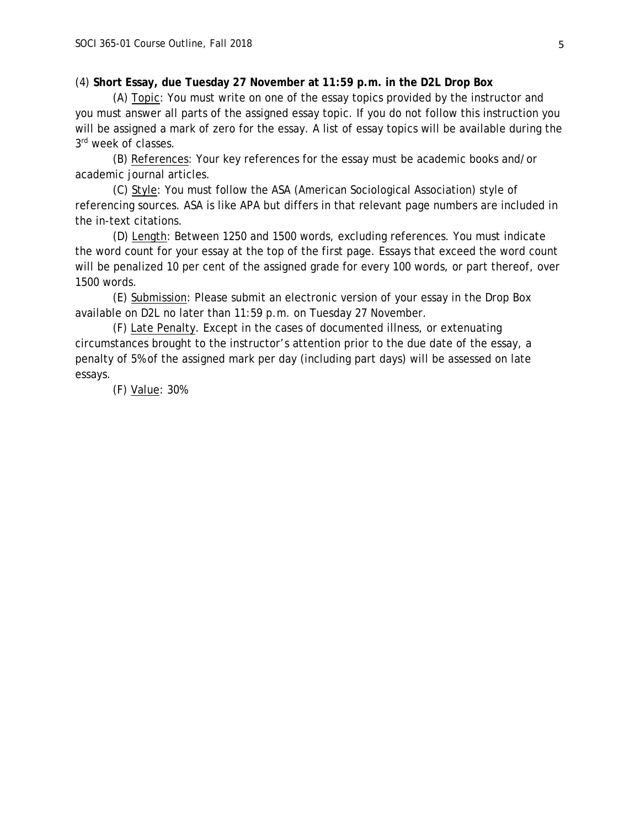### (4) **Short Essay, due Tuesday 27 November at 11:59 p.m. in the D2L Drop Box**

(A) Topic: You must write on one of the essay topics provided by the instructor and you must answer all parts of the assigned essay topic. If you do not follow this instruction you will be assigned a mark of zero for the essay. A list of essay topics will be available during the 3rd week of classes.

(B) References: Your key references for the essay must be academic books and/or academic journal articles.

(C) Style: You must follow the ASA (American Sociological Association) style of referencing sources. ASA is like APA but differs in that relevant page numbers are included in the in-text citations.

(D) Length: Between 1250 and 1500 words, excluding references. You must indicate the word count for your essay at the top of the first page. Essays that exceed the word count will be penalized 10 per cent of the assigned grade for every 100 words, or part thereof, over 1500 words.

(E) Submission: Please submit an electronic version of your essay in the Drop Box available on D2L no later than 11:59 p.m. on Tuesday 27 November.

(F) Late Penalty. Except in the cases of documented illness, or extenuating circumstances brought to the instructor's attention prior to the due date of the essay, a penalty of 5% of the assigned mark per day (including part days) will be assessed on late essays.

(F) Value: 30%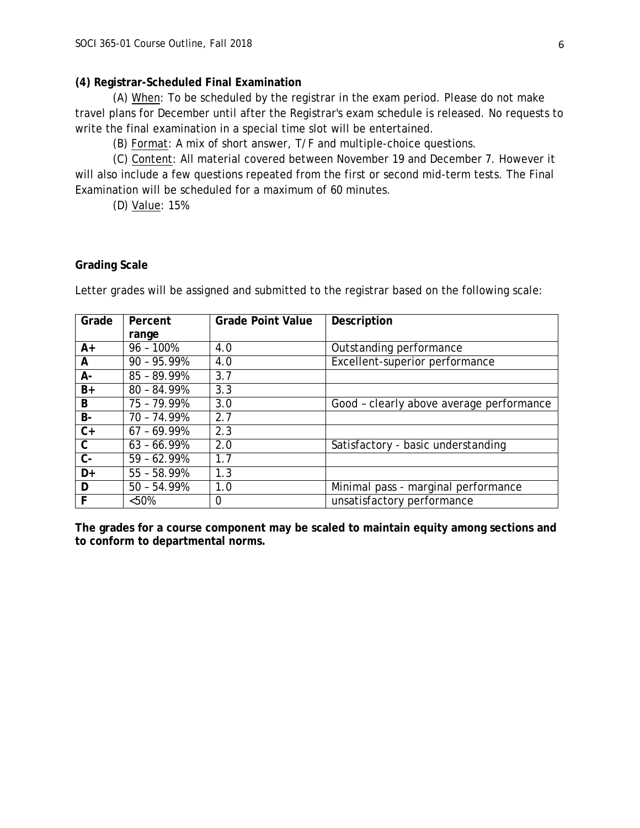#### **(4) Registrar-Scheduled Final Examination**

(A) When: To be scheduled by the registrar in the exam period. Please do not make travel plans for December until after the Registrar's exam schedule is released. No requests to write the final examination in a special time slot will be entertained.

(B) Format: A mix of short answer, T/F and multiple-choice questions.

(C) Content: All material covered between November 19 and December 7. However it will also include a few questions repeated from the first or second mid-term tests. The Final Examination will be scheduled for a maximum of 60 minutes.

(D) Value: 15%

### **Grading Scale**

Letter grades will be assigned and submitted to the registrar based on the following scale:

| Grade        | Percent       | <b>Grade Point Value</b> | Description                              |
|--------------|---------------|--------------------------|------------------------------------------|
|              | range         |                          |                                          |
| A+           | $96 - 100%$   | 4.0                      | Outstanding performance                  |
| A            | $90 - 95.99%$ | 4.0                      | Excellent-superior performance           |
| А-           | $85 - 89.99%$ | 3.7                      |                                          |
| B+           | $80 - 84.99%$ | 3.3                      |                                          |
| B            | 75 - 79.99%   | 3.0                      | Good - clearly above average performance |
| <b>B-</b>    | 70 - 74.99%   | 2.7                      |                                          |
| $C+$         | $67 - 69.99%$ | 2.3                      |                                          |
| $\mathsf{C}$ | $63 - 66.99%$ | 2.0                      | Satisfactory - basic understanding       |
| $C -$        | $59 - 62.99%$ | 1.7                      |                                          |
| D+           | $55 - 58.99%$ | 1.3                      |                                          |
| D            | $50 - 54.99%$ | 1.0                      | Minimal pass - marginal performance      |
| F            | < 50%         | $\mathbf 0$              | unsatisfactory performance               |

**The grades for a course component may be scaled to maintain equity among sections and to conform to departmental norms.**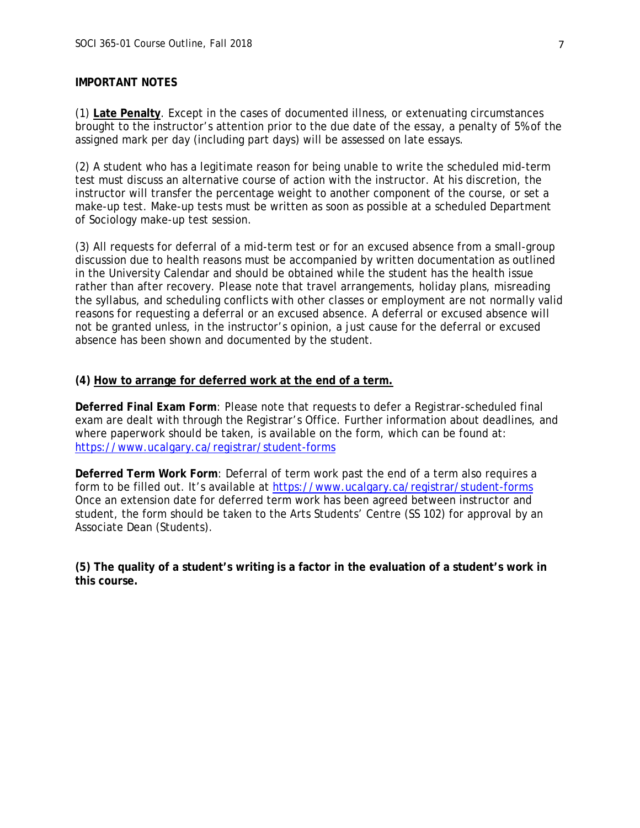## **IMPORTANT NOTES**

(1) **Late Penalty**. Except in the cases of documented illness, or extenuating circumstances brought to the instructor's attention prior to the due date of the essay, a penalty of 5% of the assigned mark per day (including part days) will be assessed on late essays.

(2) A student who has a legitimate reason for being unable to write the scheduled mid-term test must discuss an alternative course of action with the instructor. At his discretion, the instructor will transfer the percentage weight to another component of the course, or set a make-up test. Make-up tests must be written as soon as possible at a scheduled Department of Sociology make-up test session.

(3) All requests for deferral of a mid-term test or for an excused absence from a small-group discussion due to health reasons must be accompanied by written documentation as outlined in the University Calendar and should be obtained while the student has the health issue rather than after recovery. Please note that travel arrangements, holiday plans, misreading the syllabus, and scheduling conflicts with other classes or employment are not normally valid reasons for requesting a deferral or an excused absence. A deferral or excused absence will not be granted unless, in the instructor's opinion, a just cause for the deferral or excused absence has been shown and documented by the student.

#### **(4) How to arrange for deferred work at the end of a term.**

**Deferred Final Exam Form**: Please note that requests to defer a Registrar-scheduled final exam are dealt with through the Registrar's Office. Further information about deadlines, and where paperwork should be taken, is available on the form, which can be found at: <https://www.ucalgary.ca/registrar/student-forms>

**Deferred Term Work Form**: Deferral of term work past the end of a term also requires a form to be filled out. It's available at<https://www.ucalgary.ca/registrar/student-forms> Once an extension date for deferred term work has been agreed between instructor and student, the form should be taken to the Arts Students' Centre (SS 102) for approval by an Associate Dean (Students).

**(5) The quality of a student's writing is a factor in the evaluation of a student's work in this course.**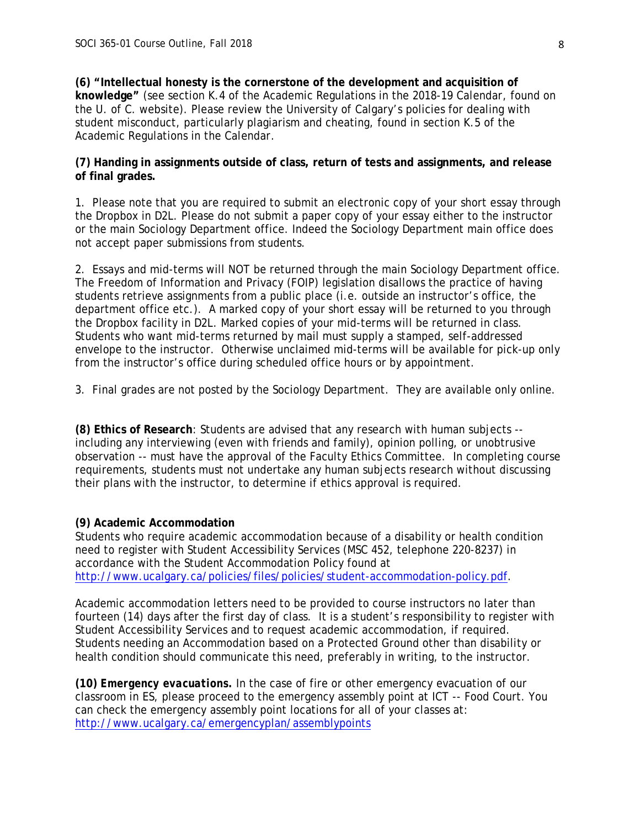**(6) "Intellectual honesty is the cornerstone of the development and acquisition of knowledge"** (see section K.4 of the Academic Regulations in the 2018-19 *Calendar*, found on the U. of C. website). Please review the University of Calgary's policies for dealing with student misconduct, particularly plagiarism and cheating, found in section K.5 of the Academic Regulations in the *Calendar*.

## **(7) Handing in assignments outside of class, return of tests and assignments, and release of final grades.**

1. Please note that you are required to submit an electronic copy of your short essay through the Dropbox in D2L. Please do not submit a paper copy of your essay either to the instructor or the main Sociology Department office. Indeed the Sociology Department main office does not accept paper submissions from students.

2. Essays and mid-terms will NOT be returned through the main Sociology Department office. The Freedom of Information and Privacy (FOIP) legislation disallows the practice of having students retrieve assignments from a public place (i.e. outside an instructor's office, the department office etc.). A marked copy of your short essay will be returned to you through the Dropbox facility in D2L. Marked copies of your mid-terms will be returned in class. Students who want mid-terms returned by mail must supply a stamped, self-addressed envelope to the instructor. Otherwise unclaimed mid-terms will be available for pick-up only from the instructor's office during scheduled office hours or by appointment.

3. Final grades are not posted by the Sociology Department. They are available only online.

**(8) Ethics of Research**: Students are advised that any research with human subjects - including any interviewing (even with friends and family), opinion polling, or unobtrusive observation -- must have the approval of the Faculty Ethics Committee. In completing course requirements, students must not undertake any human subjects research without discussing their plans with the instructor, to determine if ethics approval is required.

# **(9) Academic Accommodation**

Students who require academic accommodation because of a disability or health condition need to register with Student Accessibility Services (MSC 452, telephone 220-8237) in accordance with the Student Accommodation Policy found at [http://www.ucalgary.ca/policies/files/policies/student-accommodation-policy.pdf.](http://www.ucalgary.ca/policies/files/policies/student-accommodation-policy.pdf)

Academic accommodation letters need to be provided to course instructors no later than fourteen (14) days after the first day of class. It is a student's responsibility to register with Student Accessibility Services and to request academic accommodation, if required. Students needing an Accommodation based on a Protected Ground other than disability or health condition should communicate this need, preferably in writing, to the instructor.

**(10)** *Emergency evacuations.* In the case of fire or other emergency evacuation of our classroom in ES, please proceed to the emergency assembly point at ICT -- Food Court. You can check the emergency assembly point locations for all of your classes at: <http://www.ucalgary.ca/emergencyplan/assemblypoints>